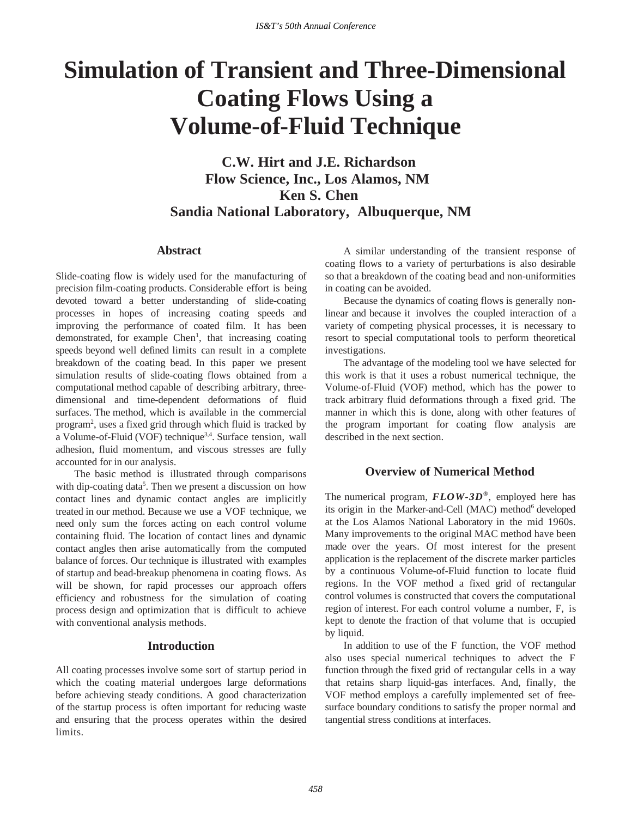# **Simulation of Transient and Three-Dimensional Coating Flows Using a Volume-of-Fluid Technique**

**C.W. Hirt and J.E. Richardson Flow Science, Inc., Los Alamos, NM Ken S. Chen Sandia National Laboratory, Albuquerque, NM**

# **Abstract**

Slide-coating flow is widely used for the manufacturing of precision film-coating products. Considerable effort is being devoted toward a better understanding of slide-coating processes in hopes of increasing coating speeds and improving the performance of coated film. It has been demonstrated, for example Chen<sup>1</sup>, that increasing coating speeds beyond well defined limits can result in a complete breakdown of the coating bead. In this paper we present simulation results of slide-coating flows obtained from a computational method capable of describing arbitrary, threedimensional and time-dependent deformations of fluid surfaces. The method, which is available in the commercial program<sup>2</sup>, uses a fixed grid through which fluid is tracked by a Volume-of-Fluid (VOF) technique<sup>3,4</sup>. Surface tension, wall adhesion, fluid momentum, and viscous stresses are fully accounted for in our analysis.

The basic method is illustrated through comparisons with dip-coating data<sup>5</sup>. Then we present a discussion on how contact lines and dynamic contact angles are implicitly treated in our method. Because we use a VOF technique, we need only sum the forces acting on each control volume containing fluid. The location of contact lines and dynamic contact angles then arise automatically from the computed balance of forces. Our technique is illustrated with examples of startup and bead-breakup phenomena in coating flows. As will be shown, for rapid processes our approach offers efficiency and robustness for the simulation of coating process design and optimization that is difficult to achieve with conventional analysis methods.

# **Introduction**

All coating processes involve some sort of startup period in which the coating material undergoes large deformations before achieving steady conditions. A good characterization of the startup process is often important for reducing waste and ensuring that the process operates within the desired limits.

A similar understanding of the transient response of coating flows to a variety of perturbations is also desirable so that a breakdown of the coating bead and non-uniformities in coating can be avoided.

Because the dynamics of coating flows is generally nonlinear and because it involves the coupled interaction of a variety of competing physical processes, it is necessary to resort to special computational tools to perform theoretical investigations.

The advantage of the modeling tool we have selected for this work is that it uses a robust numerical technique, the Volume-of-Fluid (VOF) method, which has the power to track arbitrary fluid deformations through a fixed grid. The manner in which this is done, along with other features of the program important for coating flow analysis are described in the next section.

## **Overview of Numerical Method**

The numerical program, *FLOW-3D®*, employed here has its origin in the Marker-and-Cell (MAC) method<sup>6</sup> developed at the Los Alamos National Laboratory in the mid 1960s. Many improvements to the original MAC method have been made over the years. Of most interest for the present application is the replacement of the discrete marker particles by a continuous Volume-of-Fluid function to locate fluid regions. In the VOF method a fixed grid of rectangular control volumes is constructed that covers the computational region of interest. For each control volume a number, F, is kept to denote the fraction of that volume that is occupied by liquid.

In addition to use of the F function, the VOF method also uses special numerical techniques to advect the F function through the fixed grid of rectangular cells in a way that retains sharp liquid-gas interfaces. And, finally, the VOF method employs a carefully implemented set of freesurface boundary conditions to satisfy the proper normal and tangential stress conditions at interfaces.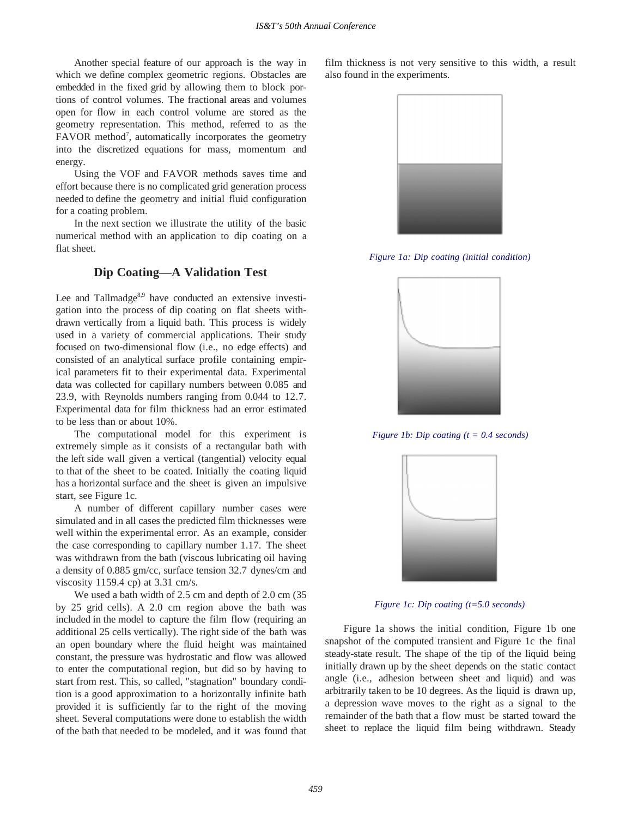Another special feature of our approach is the way in which we define complex geometric regions. Obstacles are embedded in the fixed grid by allowing them to block portions of control volumes. The fractional areas and volumes open for flow in each control volume are stored as the geometry representation. This method, referred to as the FAVOR method<sup>7</sup>, automatically incorporates the geometry into the discretized equations for mass, momentum and energy.

Using the VOF and FAVOR methods saves time and effort because there is no complicated grid generation process needed to define the geometry and initial fluid configuration for a coating problem.

In the next section we illustrate the utility of the basic numerical method with an application to dip coating on a flat sheet.

# **Dip Coating—A Validation Test**

Lee and Tallmadge<sup>8,9</sup> have conducted an extensive investigation into the process of dip coating on flat sheets withdrawn vertically from a liquid bath. This process is widely used in a variety of commercial applications. Their study focused on two-dimensional flow (i.e., no edge effects) and consisted of an analytical surface profile containing empirical parameters fit to their experimental data. Experimental data was collected for capillary numbers between 0.085 and 23.9, with Reynolds numbers ranging from 0.044 to 12.7. Experimental data for film thickness had an error estimated to be less than or about 10%.

The computational model for this experiment is extremely simple as it consists of a rectangular bath with the left side wall given a vertical (tangential) velocity equal to that of the sheet to be coated. Initially the coating liquid has a horizontal surface and the sheet is given an impulsive start, see Figure 1c.

A number of different capillary number cases were simulated and in all cases the predicted film thicknesses were well within the experimental error. As an example, consider the case corresponding to capillary number 1.17. The sheet was withdrawn from the bath (viscous lubricating oil having a density of 0.885 gm/cc, surface tension 32.7 dynes/cm and viscosity 1159.4 cp) at 3.31 cm/s.

We used a bath width of 2.5 cm and depth of 2.0 cm (35) by 25 grid cells). A 2.0 cm region above the bath was included in the model to capture the film flow (requiring an additional 25 cells vertically). The right side of the bath was an open boundary where the fluid height was maintained constant, the pressure was hydrostatic and flow was allowed to enter the computational region, but did so by having to start from rest. This, so called, "stagnation" boundary condition is a good approximation to a horizontally infinite bath provided it is sufficiently far to the right of the moving sheet. Several computations were done to establish the width of the bath that needed to be modeled, and it was found that film thickness is not very sensitive to this width, a result also found in the experiments.



*Figure 1a: Dip coating (initial condition)*



*Figure 1b: Dip coating (t = 0.4 seconds)*



*Figure 1c: Dip coating (t=5.0 seconds)*

Figure 1a shows the initial condition, Figure 1b one snapshot of the computed transient and Figure 1c the final steady-state result. The shape of the tip of the liquid being initially drawn up by the sheet depends on the static contact angle (i.e., adhesion between sheet and liquid) and was arbitrarily taken to be 10 degrees. As the liquid is drawn up, a depression wave moves to the right as a signal to the remainder of the bath that a flow must be started toward the sheet to replace the liquid film being withdrawn. Steady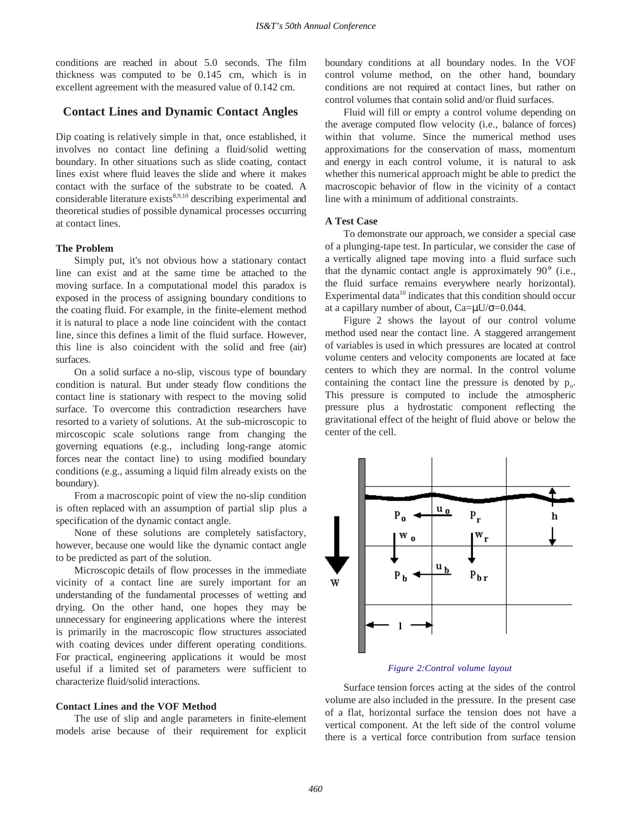conditions are reached in about 5.0 seconds. The film thickness was computed to be 0.145 cm, which is in excellent agreement with the measured value of 0.142 cm.

## **Contact Lines and Dynamic Contact Angles**

Dip coating is relatively simple in that, once established, it involves no contact line defining a fluid/solid wetting boundary. In other situations such as slide coating, contact lines exist where fluid leaves the slide and where it makes contact with the surface of the substrate to be coated. A considerable literature exists $8,9,10$  describing experimental and theoretical studies of possible dynamical processes occurring at contact lines.

#### **The Problem**

Simply put, it's not obvious how a stationary contact line can exist and at the same time be attached to the moving surface. In a computational model this paradox is exposed in the process of assigning boundary conditions to the coating fluid. For example, in the finite-element method it is natural to place a node line coincident with the contact line, since this defines a limit of the fluid surface. However, this line is also coincident with the solid and free (air) surfaces.

On a solid surface a no-slip, viscous type of boundary condition is natural. But under steady flow conditions the contact line is stationary with respect to the moving solid surface. To overcome this contradiction researchers have resorted to a variety of solutions. At the sub-microscopic to mircoscopic scale solutions range from changing the governing equations (e.g., including long-range atomic forces near the contact line) to using modified boundary conditions (e.g., assuming a liquid film already exists on the boundary).

From a macroscopic point of view the no-slip condition is often replaced with an assumption of partial slip plus a specification of the dynamic contact angle.

None of these solutions are completely satisfactory, however, because one would like the dynamic contact angle to be predicted as part of the solution.

Microscopic details of flow processes in the immediate vicinity of a contact line are surely important for an understanding of the fundamental processes of wetting and drying. On the other hand, one hopes they may be unnecessary for engineering applications where the interest is primarily in the macroscopic flow structures associated with coating devices under different operating conditions. For practical, engineering applications it would be most useful if a limited set of parameters were sufficient to characterize fluid/solid interactions.

#### **Contact Lines and the VOF Method**

The use of slip and angle parameters in finite-element models arise because of their requirement for explicit boundary conditions at all boundary nodes. In the VOF control volume method, on the other hand, boundary conditions are not required at contact lines, but rather on control volumes that contain solid and/or fluid surfaces.

Fluid will fill or empty a control volume depending on the average computed flow velocity (i.e., balance of forces) within that volume. Since the numerical method uses approximations for the conservation of mass, momentum and energy in each control volume, it is natural to ask whether this numerical approach might be able to predict the macroscopic behavior of flow in the vicinity of a contact line with a minimum of additional constraints.

#### **A Test Case**

To demonstrate our approach, we consider a special case of a plunging-tape test. In particular, we consider the case of a vertically aligned tape moving into a fluid surface such that the dynamic contact angle is approximately 90° (i.e., the fluid surface remains everywhere nearly horizontal). Experimental data<sup>10</sup> indicates that this condition should occur at a capillary number of about,  $Ca=\mu U/\sigma=0.044$ .

Figure 2 shows the layout of our control volume method used near the contact line. A staggered arrangement of variables is used in which pressures are located at control volume centers and velocity components are located at face centers to which they are normal. In the control volume containing the contact line the pressure is denoted by  $p_0$ . This pressure is computed to include the atmospheric pressure plus a hydrostatic component reflecting the gravitational effect of the height of fluid above or below the center of the cell.



#### *Figure 2:Control volume layout*

Surface tension forces acting at the sides of the control volume are also included in the pressure. In the present case of a flat, horizontal surface the tension does not have a vertical component. At the left side of the control volume there is a vertical force contribution from surface tension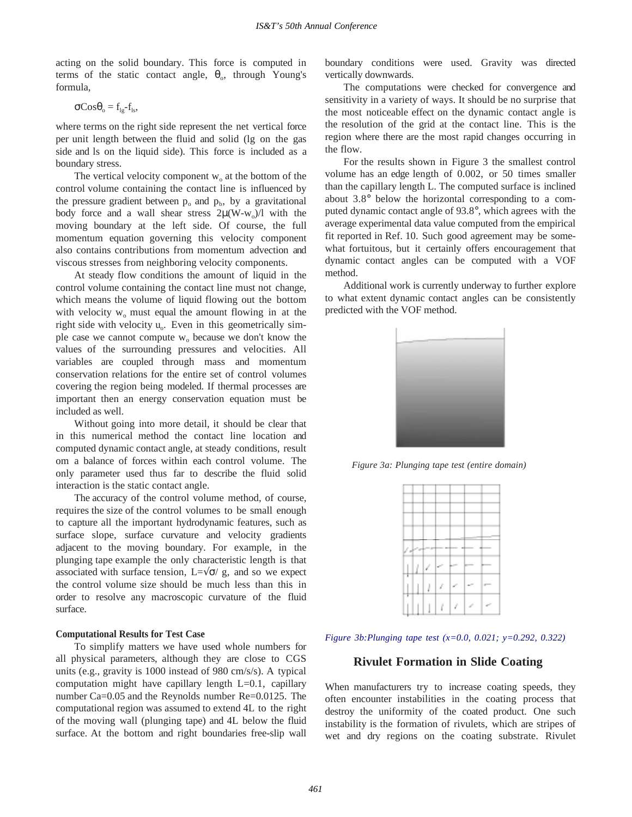acting on the solid boundary. This force is computed in terms of the static contact angle,  $\theta_0$ , through Young's formula,

$$
\sigma\mathrm{Cos}\theta_{\mathrm{o}} = f_{\mathrm{lg}}\text{-}f_{\mathrm{ls}},
$$

where terms on the right side represent the net vertical force per unit length between the fluid and solid (lg on the gas side and ls on the liquid side). This force is included as a boundary stress.

The vertical velocity component  $w_0$  at the bottom of the control volume containing the contact line is influenced by the pressure gradient between  $p_0$  and  $p_b$ , by a gravitational body force and a wall shear stress  $2\mu(W-w_0)/1$  with the moving boundary at the left side. Of course, the full momentum equation governing this velocity component also contains contributions from momentum advection and viscous stresses from neighboring velocity components.

At steady flow conditions the amount of liquid in the control volume containing the contact line must not change, which means the volume of liquid flowing out the bottom with velocity  $w_0$  must equal the amount flowing in at the right side with velocity  $u_0$ . Even in this geometrically simple case we cannot compute  $w_0$  because we don't know the values of the surrounding pressures and velocities. All variables are coupled through mass and momentum conservation relations for the entire set of control volumes covering the region being modeled. If thermal processes are important then an energy conservation equation must be included as well.

Without going into more detail, it should be clear that in this numerical method the contact line location and computed dynamic contact angle, at steady conditions, result om a balance of forces within each control volume. The only parameter used thus far to describe the fluid solid interaction is the static contact angle.

The accuracy of the control volume method, of course, requires the size of the control volumes to be small enough to capture all the important hydrodynamic features, such as surface slope, surface curvature and velocity gradients adjacent to the moving boundary. For example, in the plunging tape example the only characteristic length is that associated with surface tension,  $L=\sqrt{\sigma}$  g, and so we expect the control volume size should be much less than this in order to resolve any macroscopic curvature of the fluid surface.

### **Computational Results for Test Case**

To simplify matters we have used whole numbers for all physical parameters, although they are close to CGS units (e.g., gravity is 1000 instead of 980 cm/s/s). A typical computation might have capillary length L=0.1, capillary number Ca=0.05 and the Reynolds number Re=0.0125. The computational region was assumed to extend 4L to the right of the moving wall (plunging tape) and 4L below the fluid surface. At the bottom and right boundaries free-slip wall boundary conditions were used. Gravity was directed vertically downwards.

The computations were checked for convergence and sensitivity in a variety of ways. It should be no surprise that the most noticeable effect on the dynamic contact angle is the resolution of the grid at the contact line. This is the region where there are the most rapid changes occurring in the flow.

For the results shown in Figure 3 the smallest control volume has an edge length of 0.002, or 50 times smaller than the capillary length L. The computed surface is inclined about 3.8° below the horizontal corresponding to a computed dynamic contact angle of 93.8°, which agrees with the average experimental data value computed from the empirical fit reported in Ref. 10. Such good agreement may be somewhat fortuitous, but it certainly offers encouragement that dynamic contact angles can be computed with a VOF method.

Additional work is currently underway to further explore to what extent dynamic contact angles can be consistently predicted with the VOF method.



*Figure 3a: Plunging tape test (entire domain)*



*Figure 3b:Plunging tape test (x=0.0, 0.021; y=0.292, 0.322)*

## **Rivulet Formation in Slide Coating**

When manufacturers try to increase coating speeds, they often encounter instabilities in the coating process that destroy the uniformity of the coated product. One such instability is the formation of rivulets, which are stripes of wet and dry regions on the coating substrate. Rivulet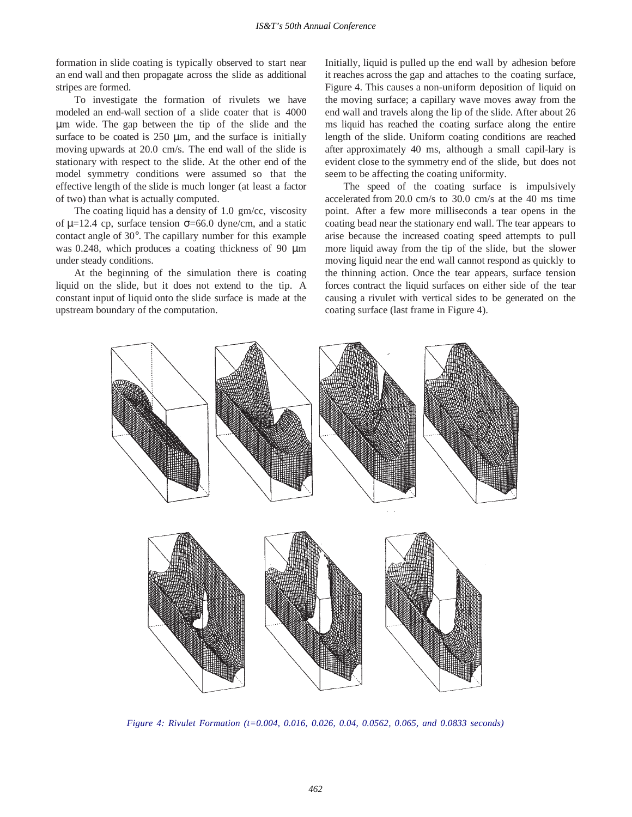formation in slide coating is typically observed to start near an end wall and then propagate across the slide as additional stripes are formed.

To investigate the formation of rivulets we have modeled an end-wall section of a slide coater that is 4000 µm wide. The gap between the tip of the slide and the surface to be coated is  $250 \mu m$ , and the surface is initially moving upwards at 20.0 cm/s. The end wall of the slide is stationary with respect to the slide. At the other end of the model symmetry conditions were assumed so that the effective length of the slide is much longer (at least a factor of two) than what is actually computed.

The coating liquid has a density of 1.0 gm/cc, viscosity of  $\mu$ =12.4 cp, surface tension  $\sigma$ =66.0 dyne/cm, and a static contact angle of 30°. The capillary number for this example was 0.248, which produces a coating thickness of 90  $\mu$ m under steady conditions.

At the beginning of the simulation there is coating liquid on the slide, but it does not extend to the tip. A constant input of liquid onto the slide surface is made at the upstream boundary of the computation.

Initially, liquid is pulled up the end wall by adhesion before it reaches across the gap and attaches to the coating surface, Figure 4. This causes a non-uniform deposition of liquid on the moving surface; a capillary wave moves away from the end wall and travels along the lip of the slide. After about 26 ms liquid has reached the coating surface along the entire length of the slide. Uniform coating conditions are reached after approximately 40 ms, although a small capil-lary is evident close to the symmetry end of the slide, but does not seem to be affecting the coating uniformity.

The speed of the coating surface is impulsively accelerated from 20.0 cm/s to 30.0 cm/s at the 40 ms time point. After a few more milliseconds a tear opens in the coating bead near the stationary end wall. The tear appears to arise because the increased coating speed attempts to pull more liquid away from the tip of the slide, but the slower moving liquid near the end wall cannot respond as quickly to the thinning action. Once the tear appears, surface tension forces contract the liquid surfaces on either side of the tear causing a rivulet with vertical sides to be generated on the coating surface (last frame in Figure 4).



*Figure 4: Rivulet Formation (t=0.004, 0.016, 0.026, 0.04, 0.0562, 0.065, and 0.0833 seconds)*